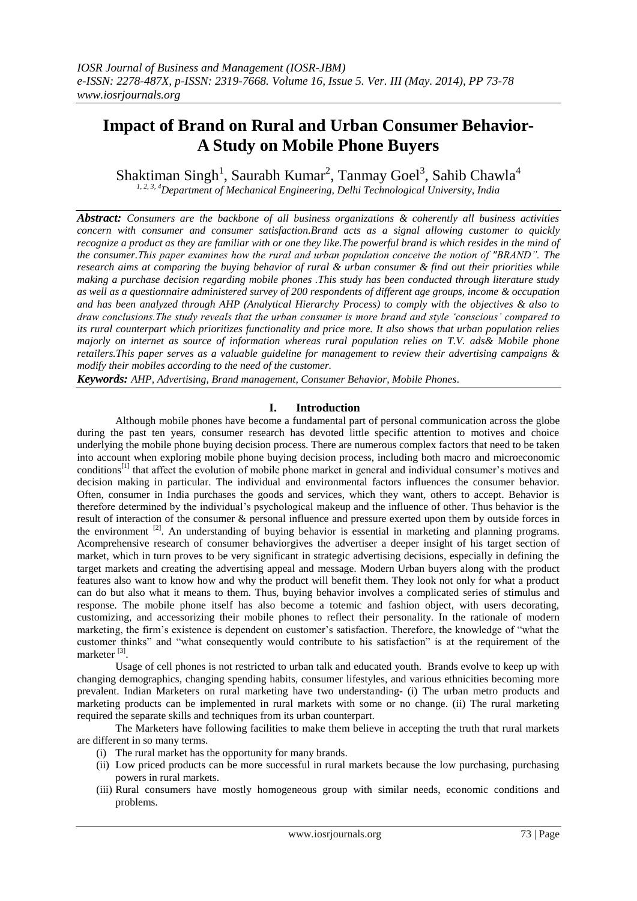# **Impact of Brand on Rural and Urban Consumer Behavior-A Study on Mobile Phone Buyers**

Shaktiman Singh<sup>1</sup>, Saurabh Kumar<sup>2</sup>, Tanmay Goel<sup>3</sup>, Sahib Chawla<sup>4</sup>

*1, 2, 3, 4Department of Mechanical Engineering, Delhi Technological University, India*

*Abstract: Consumers are the backbone of all business organizations & coherently all business activities concern with consumer and consumer satisfaction.Brand acts as a signal allowing customer to quickly recognize a product as they are familiar with or one they like.The powerful brand is which resides in the mind of the consumer.This paper examines how the rural and urban population conceive the notion of "BRAND". The research aims at comparing the buying behavior of rural & urban consumer & find out their priorities while making a purchase decision regarding mobile phones .This study has been conducted through literature study as well as a questionnaire administered survey of 200 respondents of different age groups, income & occupation and has been analyzed through AHP (Analytical Hierarchy Process) to comply with the objectives & also to draw conclusions.The study reveals that the urban consumer is more brand and style 'conscious' compared to its rural counterpart which prioritizes functionality and price more. It also shows that urban population relies majorly on internet as source of information whereas rural population relies on T.V. ads& Mobile phone retailers.This paper serves as a valuable guideline for management to review their advertising campaigns & modify their mobiles according to the need of the customer.*

*Keywords: AHP, Advertising, Brand management, Consumer Behavior, Mobile Phones.*

#### **I. Introduction**

Although mobile phones have become a fundamental part of personal communication across the globe during the past ten years, consumer research has devoted little specific attention to motives and choice underlying the mobile phone buying decision process. There are numerous complex factors that need to be taken into account when exploring mobile phone buying decision process, including both macro and microeconomic conditions<sup>[1]</sup> that affect the evolution of mobile phone market in general and individual consumer's motives and decision making in particular. The individual and environmental factors influences the consumer behavior. Often, consumer in India purchases the goods and services, which they want, others to accept. Behavior is therefore determined by the individual"s psychological makeup and the influence of other. Thus behavior is the result of interaction of the consumer & personal influence and pressure exerted upon them by outside forces in the environment <sup>[2]</sup>. An understanding of buying behavior is essential in marketing and planning programs. Acomprehensive research of consumer behaviorgives the advertiser a deeper insight of his target section of market, which in turn proves to be very significant in strategic advertising decisions, especially in defining the target markets and creating the advertising appeal and message. Modern Urban buyers along with the product features also want to know how and why the product will benefit them. They look not only for what a product can do but also what it means to them. Thus, buying behavior involves a complicated series of stimulus and response. The mobile phone itself has also become a totemic and fashion object, with users decorating, customizing, and accessorizing their mobile phones to reflect their personality. In the rationale of modern marketing, the firm"s existence is dependent on customer"s satisfaction. Therefore, the knowledge of "what the customer thinks" and "what consequently would contribute to his satisfaction" is at the requirement of the marketer<sup>[3]</sup>.

Usage of cell phones is not restricted to urban talk and educated youth. Brands evolve to keep up with changing demographics, changing spending habits, consumer lifestyles, and various ethnicities becoming more prevalent. Indian Marketers on rural marketing have two understanding- (i) The urban metro products and marketing products can be implemented in rural markets with some or no change. (ii) The rural marketing required the separate skills and techniques from its urban counterpart.

The Marketers have following facilities to make them believe in accepting the truth that rural markets are different in so many terms.

- (i) The rural market has the opportunity for many brands.
- (ii) Low priced products can be more successful in rural markets because the low purchasing, purchasing powers in rural markets.
- (iii) Rural consumers have mostly homogeneous group with similar needs, economic conditions and problems.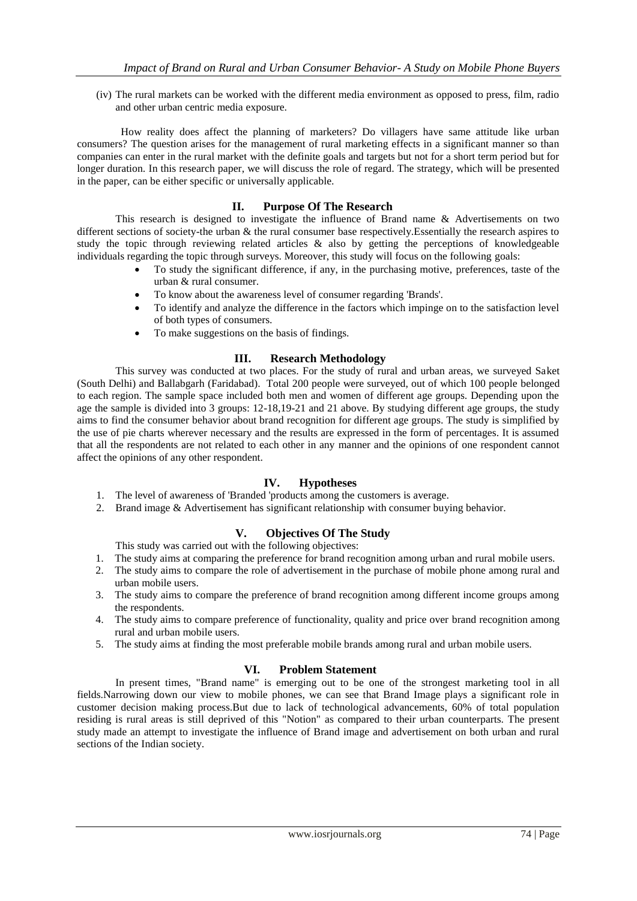(iv) The rural markets can be worked with the different media environment as opposed to press, film, radio and other urban centric media exposure.

 How reality does affect the planning of marketers? Do villagers have same attitude like urban consumers? The question arises for the management of rural marketing effects in a significant manner so than companies can enter in the rural market with the definite goals and targets but not for a short term period but for longer duration. In this research paper, we will discuss the role of regard. The strategy, which will be presented in the paper, can be either specific or universally applicable.

#### **II. Purpose Of The Research**

This research is designed to investigate the influence of Brand name & Advertisements on two different sections of society-the urban & the rural consumer base respectively. Essentially the research aspires to study the topic through reviewing related articles & also by getting the perceptions of knowledgeable individuals regarding the topic through surveys. Moreover, this study will focus on the following goals:

- To study the significant difference, if any, in the purchasing motive, preferences, taste of the urban & rural consumer.
- To know about the awareness level of consumer regarding 'Brands'.
- To identify and analyze the difference in the factors which impinge on to the satisfaction level of both types of consumers.
- To make suggestions on the basis of findings.

#### **III. Research Methodology**

This survey was conducted at two places. For the study of rural and urban areas, we surveyed Saket (South Delhi) and Ballabgarh (Faridabad). Total 200 people were surveyed, out of which 100 people belonged to each region. The sample space included both men and women of different age groups. Depending upon the age the sample is divided into 3 groups: 12-18,19-21 and 21 above. By studying different age groups, the study aims to find the consumer behavior about brand recognition for different age groups. The study is simplified by the use of pie charts wherever necessary and the results are expressed in the form of percentages. It is assumed that all the respondents are not related to each other in any manner and the opinions of one respondent cannot affect the opinions of any other respondent.

#### **IV. Hypotheses**

- 1. The level of awareness of 'Branded 'products among the customers is average.
- 2. Brand image & Advertisement has significant relationship with consumer buying behavior.

### **V. Objectives Of The Study**

This study was carried out with the following objectives:

- 1. The study aims at comparing the preference for brand recognition among urban and rural mobile users.
- 2. The study aims to compare the role of advertisement in the purchase of mobile phone among rural and urban mobile users.
- 3. The study aims to compare the preference of brand recognition among different income groups among the respondents.
- 4. The study aims to compare preference of functionality, quality and price over brand recognition among rural and urban mobile users.
- 5. The study aims at finding the most preferable mobile brands among rural and urban mobile users.

#### **VI. Problem Statement**

In present times, "Brand name" is emerging out to be one of the strongest marketing tool in all fields.Narrowing down our view to mobile phones, we can see that Brand Image plays a significant role in customer decision making process.But due to lack of technological advancements, 60% of total population residing is rural areas is still deprived of this "Notion" as compared to their urban counterparts. The present study made an attempt to investigate the influence of Brand image and advertisement on both urban and rural sections of the Indian society.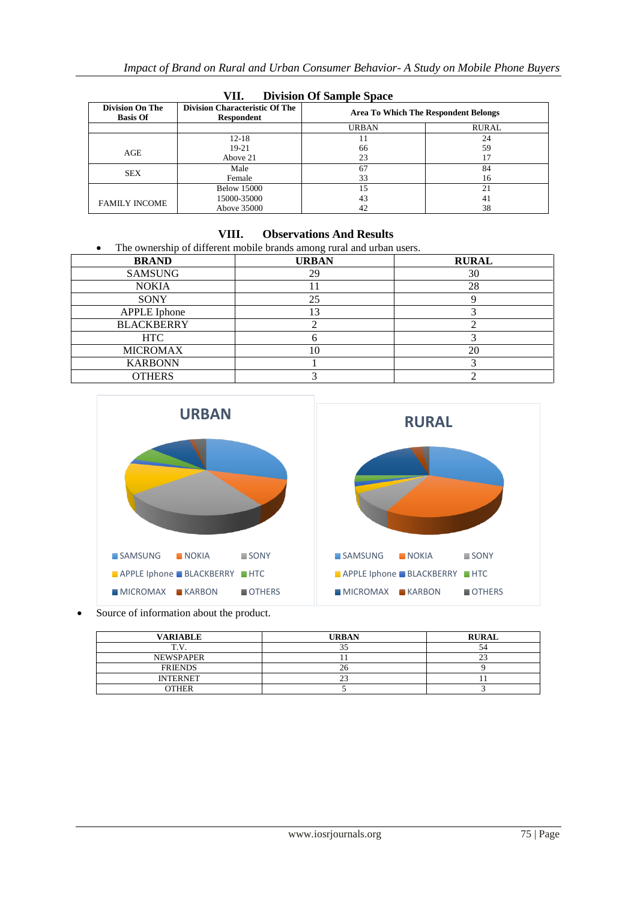| ,<br>Division Of Banipic Space            |                                                            |                                             |       |
|-------------------------------------------|------------------------------------------------------------|---------------------------------------------|-------|
| <b>Division On The</b><br><b>Basis Of</b> | <b>Division Characteristic Of The</b><br><b>Respondent</b> | <b>Area To Which The Respondent Belongs</b> |       |
|                                           |                                                            | <b>URBAN</b>                                | RURAL |
|                                           | $12 - 18$                                                  |                                             | 24    |
| AGE                                       | $19-21$                                                    | 66                                          | 59    |
|                                           | Above 21                                                   | 23                                          |       |
| <b>SEX</b>                                | Male                                                       | 67                                          | 84    |
|                                           | Female                                                     | 33                                          | 16    |
|                                           | <b>Below 15000</b>                                         | 15                                          | 21    |
| <b>FAMILY INCOME</b>                      | 15000-35000                                                | 43                                          | 41    |
|                                           | Above 35000                                                | 42                                          | 38    |

#### **VII. Division Of Sample Space**

## **VIII. Observations And Results**

The ownership of different mobile brands among rural and urban users.

| <b>BRAND</b>        | <b>URBAN</b> | <b>RURAL</b> |
|---------------------|--------------|--------------|
| <b>SAMSUNG</b>      | 29           | 30           |
| <b>NOKIA</b>        |              | 28           |
| <b>SONY</b>         | 25           |              |
| <b>APPLE</b> Iphone | າລ           |              |
| <b>BLACKBERRY</b>   |              |              |
| <b>HTC</b>          |              |              |
| <b>MICROMAX</b>     |              | 20           |
| <b>KARBONN</b>      |              |              |
| <b>OTHERS</b>       |              |              |



Source of information about the product.

| <b>VARIABLE</b>  | <b>URBAN</b> | <b>RURAL</b> |
|------------------|--------------|--------------|
| ጥ ህ              |              |              |
| <b>NEWSPAPER</b> |              |              |
| <b>FRIENDS</b>   |              |              |
| <b>INTERNET</b>  |              |              |
| OTHER            |              |              |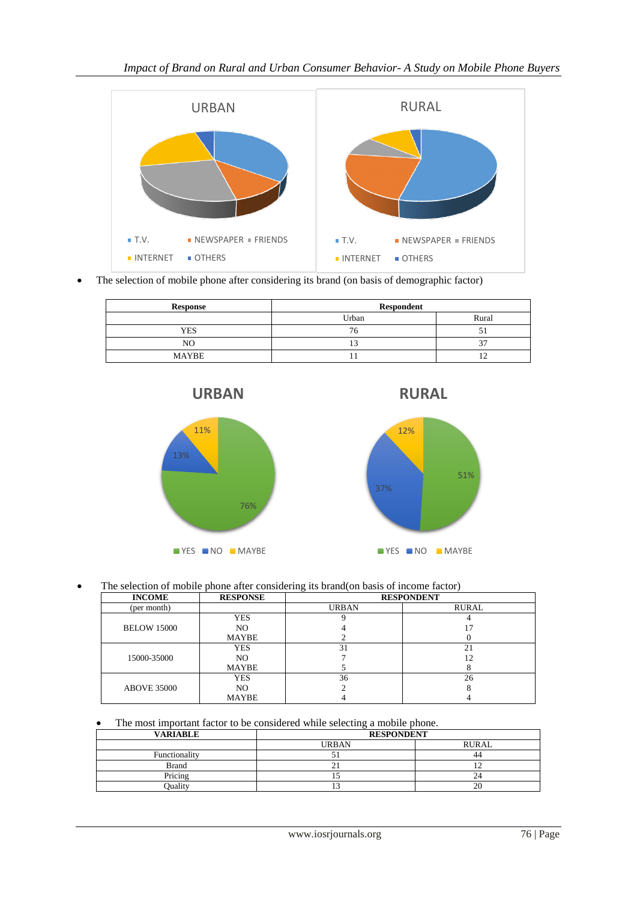

The selection of mobile phone after considering its brand (on basis of demographic factor)

| Response     | <b>Respondent</b> |       |
|--------------|-------------------|-------|
|              | Urban             | Rural |
| <b>YES</b>   | 76                |       |
| NO           |                   |       |
| <b>MAYBE</b> |                   |       |







The selection of mobile phone after considering its brand(on basis of income factor)

| <b>INCOME</b>      | <b>RESPONSE</b> |              | <b>RESPONDENT</b> |
|--------------------|-----------------|--------------|-------------------|
| (per month)        |                 | <b>URBAN</b> | RURAL             |
| <b>BELOW 15000</b> | <b>YES</b>      |              |                   |
|                    | NO              |              |                   |
|                    | MAYBE           |              |                   |
|                    | <b>YES</b>      | 31           | 21                |
| 15000-35000        | NO.             |              |                   |
|                    | MAYBE           |              |                   |
| <b>ABOVE 35000</b> | <b>YES</b>      | 36           | 26                |
|                    | NO              |              |                   |
|                    | <b>MAYBE</b>    |              |                   |

The most important factor to be considered while selecting a mobile phone.

| <b>VARIABLE</b> | <b>RESPONDENT</b> |              |
|-----------------|-------------------|--------------|
|                 | <b>URBAN</b>      | <b>RURAL</b> |
| Functionality   |                   | 44           |
| <b>Brand</b>    |                   |              |
| Pricing         |                   | 24           |
| Ouality         |                   | 20           |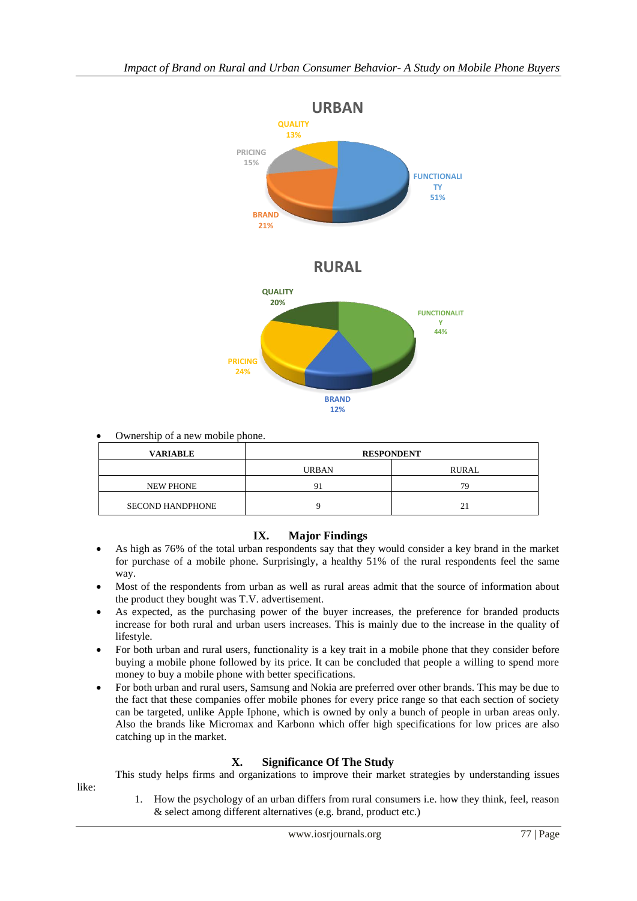

Ownership of a new mobile phone.

| <b>VARIABLE</b>         | <b>RESPONDENT</b> |         |
|-------------------------|-------------------|---------|
|                         | <b>URBAN</b>      | RURAL   |
| <b>NEW PHONE</b>        |                   | 70      |
| <b>SECOND HANDPHONE</b> |                   | 21<br>∠ |

### **IX. Major Findings**

- As high as 76% of the total urban respondents say that they would consider a key brand in the market for purchase of a mobile phone. Surprisingly, a healthy 51% of the rural respondents feel the same way.
- Most of the respondents from urban as well as rural areas admit that the source of information about the product they bought was T.V. advertisement.
- As expected, as the purchasing power of the buyer increases, the preference for branded products increase for both rural and urban users increases. This is mainly due to the increase in the quality of lifestyle.
- For both urban and rural users, functionality is a key trait in a mobile phone that they consider before buying a mobile phone followed by its price. It can be concluded that people a willing to spend more money to buy a mobile phone with better specifications.
- For both urban and rural users, Samsung and Nokia are preferred over other brands. This may be due to the fact that these companies offer mobile phones for every price range so that each section of society can be targeted, unlike Apple Iphone, which is owned by only a bunch of people in urban areas only. Also the brands like Micromax and Karbonn which offer high specifications for low prices are also catching up in the market.

### **X. Significance Of The Study**

This study helps firms and organizations to improve their market strategies by understanding issues

- like:
- 1. How the psychology of an urban differs from rural consumers i.e. how they think, feel, reason & select among different alternatives (e.g. brand, product etc.)